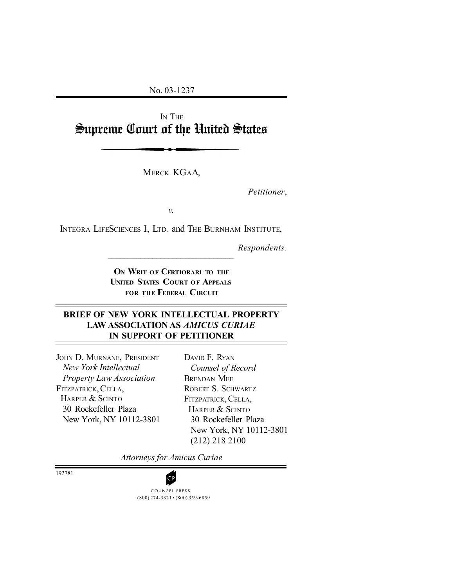No. 03-1237

I<sup>N</sup> THE Supreme Court of the United States

MERCK KGAA,

*Petitioner*,

*v.*

INTEGRA LIFESCIENCES I, LTD. and THE BURNHAM INSTITUTE,

 $\mathcal{L}_\text{max}$ 

*Respondents.*

**O<sup>N</sup> WRIT OF CERTIORARI TO THE UNITED STATES COURT OF APPEALS FOR THE FEDERAL CIRCUIT**

## **BRIEF OF NEW YORK INTELLECTUAL PROPERTY LAW ASSOCIATION AS** *AMICUS CURIAE* **IN SUPPORT OF PETITIONER**

JOHN D. MURNANE, PRESIDENT *New York Intellectual Property Law Association* FITZPATRICK, CELLA, HARPER & SCINTO 30 Rockefeller Plaza New York, NY 10112-3801 DAVID F. RYAN *Counsel of Record* BRENDAN MEE ROBERT S. SCHWARTZ FITZPATRICK, CELLA, HARPER & SCINTO 30 Rockefeller Plaza New York, NY 10112-3801 (212) 218 2100

*Attorneys for Amicus Curiae*

192781

(800) 274-3321 • (800) 359-6859 **CP**<br>COUNSEL PRESS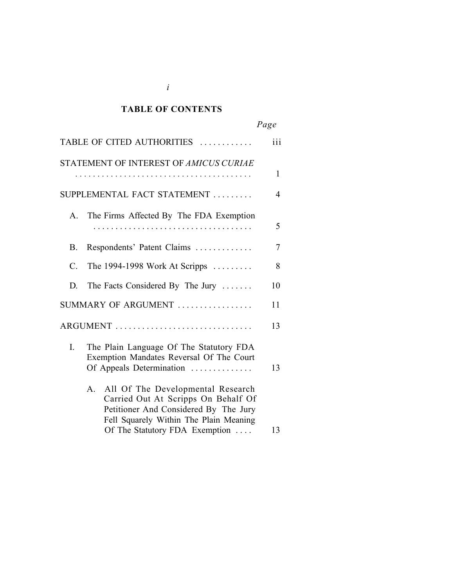### *Cited Authorities* **TABLE OF CONTENTS**

|                                                                                                                                                                                                          | Page         |
|----------------------------------------------------------------------------------------------------------------------------------------------------------------------------------------------------------|--------------|
| TABLE OF CITED AUTHORITIES                                                                                                                                                                               | iii          |
| STATEMENT OF INTEREST OF AMICUS CURIAE                                                                                                                                                                   | $\mathbf{1}$ |
| SUPPLEMENTAL FACT STATEMENT                                                                                                                                                                              | 4            |
| The Firms Affected By The FDA Exemption<br>$\mathsf{A}$                                                                                                                                                  | 5            |
| Respondents' Patent Claims<br><b>B.</b>                                                                                                                                                                  | 7            |
| $\mathcal{C}$ .<br>The 1994-1998 Work At Scripps $\ldots \ldots$                                                                                                                                         | 8            |
| The Facts Considered By The Jury<br>D.                                                                                                                                                                   | 10           |
| SUMMARY OF ARGUMENT                                                                                                                                                                                      | 11           |
|                                                                                                                                                                                                          | 13           |
| L<br>The Plain Language Of The Statutory FDA<br>Exemption Mandates Reversal Of The Court<br>Of Appeals Determination                                                                                     | 13           |
| All Of The Developmental Research<br>$A_{-}$<br>Carried Out At Scripps On Behalf Of<br>Petitioner And Considered By The Jury<br>Fell Squarely Within The Plain Meaning<br>Of The Statutory FDA Exemption | 13           |
|                                                                                                                                                                                                          |              |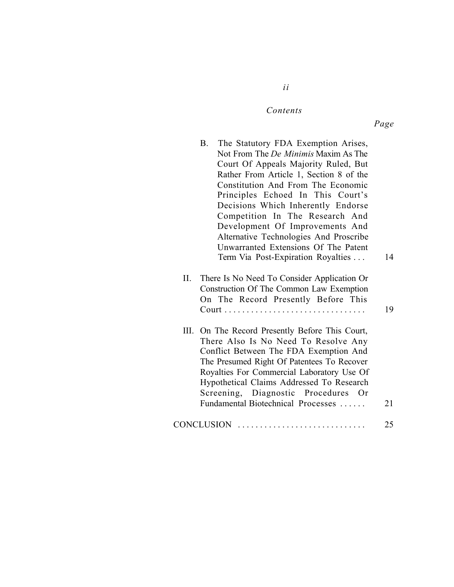### $Contents$

*ii*

*Page*

|     | <b>B</b> . | The Statutory FDA Exemption Arises,<br>Not From The <i>De Minimis</i> Maxim As The<br>Court Of Appeals Majority Ruled, But<br>Rather From Article 1, Section 8 of the<br>Constitution And From The Economic<br>Principles Echoed In This Court's<br>Decisions Which Inherently Endorse<br>Competition In The Research And<br>Development Of Improvements And<br>Alternative Technologies And Proscribe<br>Unwarranted Extensions Of The Patent<br>Term Via Post-Expiration Royalties | 14 |
|-----|------------|--------------------------------------------------------------------------------------------------------------------------------------------------------------------------------------------------------------------------------------------------------------------------------------------------------------------------------------------------------------------------------------------------------------------------------------------------------------------------------------|----|
| II. |            | There Is No Need To Consider Application Or<br>Construction Of The Common Law Exemption<br>On The Record Presently Before This                                                                                                                                                                                                                                                                                                                                                       | 19 |
| Ш.  |            | On The Record Presently Before This Court,<br>There Also Is No Need To Resolve Any<br>Conflict Between The FDA Exemption And<br>The Presumed Right Of Patentees To Recover<br>Royalties For Commercial Laboratory Use Of<br>Hypothetical Claims Addressed To Research<br>Screening, Diagnostic Procedures Or<br>Fundamental Biotechnical Processes                                                                                                                                   | 21 |
|     |            | CONCLUSION                                                                                                                                                                                                                                                                                                                                                                                                                                                                           | 25 |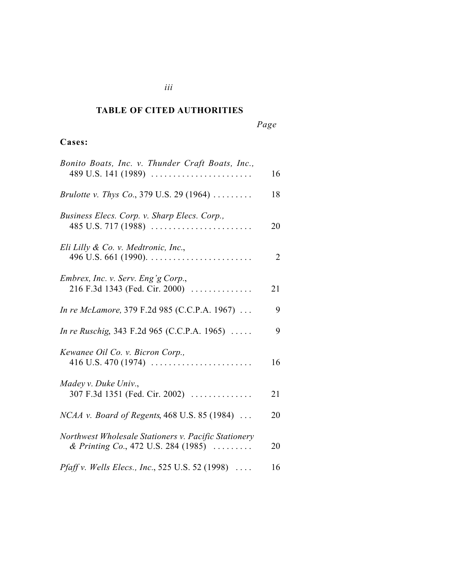### *Cited Authorities* **TABLE OF CITED AUTHORITIES**

# **Cases:**

| Bonito Boats, Inc. v. Thunder Craft Boats, Inc.,<br>$489$ U.S. 141 (1989)                                      | 16 |
|----------------------------------------------------------------------------------------------------------------|----|
| Brulotte v. Thys Co., 379 U.S. 29 (1964)                                                                       | 18 |
| Business Elecs. Corp. v. Sharp Elecs. Corp.,                                                                   | 20 |
| Eli Lilly & Co. v. Medtronic, Inc.,<br>496 U.S. 661 (1990). $\ldots \ldots \ldots \ldots \ldots \ldots \ldots$ | 2  |
| Embrex, Inc. v. Serv. Eng'g Corp.,<br>216 F.3d 1343 (Fed. Cir. 2000)                                           | 21 |
| In re McLamore, 379 F.2d 985 (C.C.P.A. 1967)                                                                   | 9  |
| In re Ruschig, 343 F.2d 965 (C.C.P.A. 1965)                                                                    | 9  |
| Kewanee Oil Co. v. Bicron Corp.,                                                                               | 16 |
| Madey v. Duke Univ.,<br>307 F.3d 1351 (Fed. Cir. 2002)                                                         | 21 |
| <i>NCAA v. Board of Regents,</i> 468 U.S. 85 (1984) $\ldots$                                                   | 20 |
| Northwest Wholesale Stationers v. Pacific Stationery<br>& Printing Co., 472 U.S. 284 (1985)                    | 20 |
| <i>Pfaff v. Wells Elecs., Inc.</i> , 525 U.S. 52 (1998) $\ldots$ .                                             | 16 |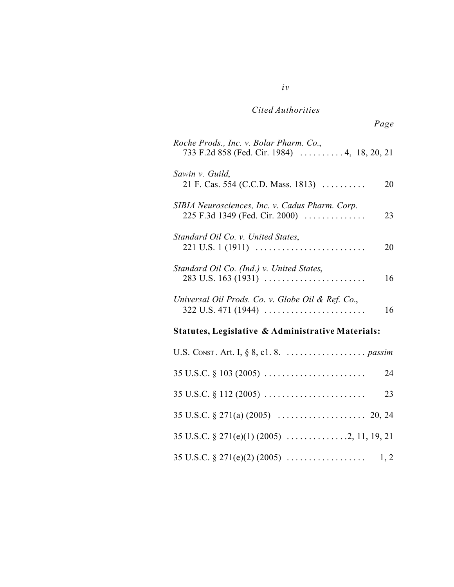# *Cited Authorities*

*iv*

| Roche Prods., Inc. v. Bolar Pharm. Co.,<br>733 F.2d 858 (Fed. Cir. 1984)  4, 18, 20, 21 |    |  |
|-----------------------------------------------------------------------------------------|----|--|
| Sawin v. Guild,<br>21 F. Cas. 554 (C.C.D. Mass. 1813)                                   | 20 |  |
| SIBIA Neurosciences, Inc. v. Cadus Pharm. Corp.<br>225 F.3d 1349 (Fed. Cir. 2000)       | 23 |  |
| Standard Oil Co. v. United States,                                                      | 20 |  |
| Standard Oil Co. (Ind.) v. United States,<br>$283$ U.S. 163 (1931)                      | 16 |  |
| Universal Oil Prods. Co. v. Globe Oil & Ref. Co.,<br>$322$ U.S. 471 (1944)              | 16 |  |
| Statutes, Legislative & Administrative Materials:                                       |    |  |
|                                                                                         |    |  |
| $35 \text{ U.S.C.} \S 103 (2005) \ldots \ldots \ldots \ldots \ldots \ldots \ldots$      | 24 |  |
| $35 \text{ U.S.C.} \S 112 (2005) \ldots \ldots \ldots \ldots \ldots \ldots \ldots$      | 23 |  |
|                                                                                         |    |  |
|                                                                                         |    |  |
|                                                                                         |    |  |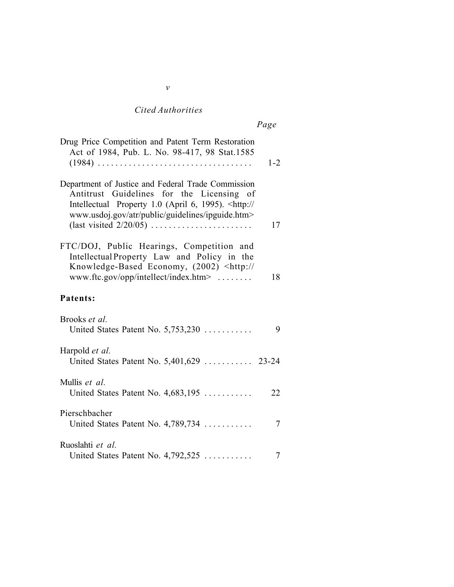# *Cited Authorities*

|--|

| Drug Price Competition and Patent Term Restoration<br>Act of 1984, Pub. L. No. 98-417, 98 Stat.1585                                                                                                                        | $1 - 2$        |
|----------------------------------------------------------------------------------------------------------------------------------------------------------------------------------------------------------------------------|----------------|
| Department of Justice and Federal Trade Commission<br>Antitrust Guidelines for the Licensing<br>of<br>Intellectual Property 1.0 (April 6, 1995). <http: <br="">www.usdoj.gov/atr/public/guidelines/ipguide.htm&gt;</http:> | 17             |
| FTC/DOJ, Public Hearings, Competition and<br>Intellectual Property Law and Policy in the<br>Knowledge-Based Economy, (2002) <http: <br=""><math>www. ftc.gov/opp/intellect/index.htm</math>&gt; </http:>                   | 18             |
| Patents:                                                                                                                                                                                                                   |                |
| Brooks et al.<br>United States Patent No. 5,753,230                                                                                                                                                                        | 9              |
| Harpold <i>et al.</i><br>United States Patent No. 5,401,629  23-24                                                                                                                                                         |                |
| Mullis et al.<br>United States Patent No. 4,683,195                                                                                                                                                                        | 22             |
| Pierschbacher<br>United States Patent No. 4,789,734                                                                                                                                                                        | $\tau$         |
| Ruoslahti et al.<br>United States Patent No. $4,792,525$                                                                                                                                                                   | $\overline{7}$ |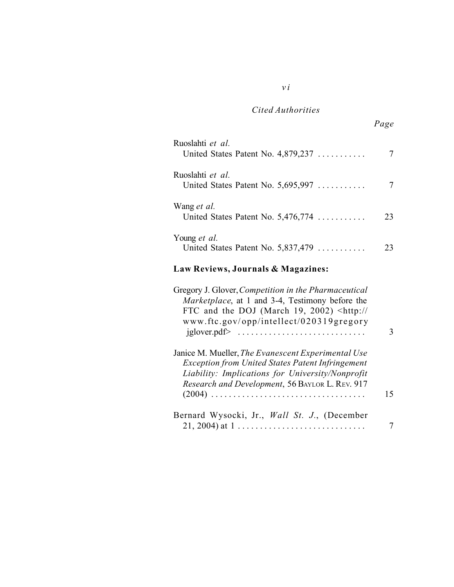# *Cited Authorities*

*v i*

| Ruoslahti et al.<br>United States Patent No. $4,879,237$    |    |
|-------------------------------------------------------------|----|
| Ruoslahti et al.<br>United States Patent No. $5,695,997$    |    |
| Wang <i>et al.</i><br>United States Patent No. $5,476,774$  | 23 |
| Young <i>et al.</i><br>United States Patent No. $5,837,479$ | 23 |
|                                                             |    |

# **Law Reviews, Journals & Magazines:**

| Gregory J. Glover, Competition in the Pharmaceutical<br>Marketplace, at 1 and 3-4, Testimony before the<br>FTC and the DOJ (March 19, 2002) <http: <br="">www.ftc.gov/opp/intellect/020319gregory</http:>            |    |
|----------------------------------------------------------------------------------------------------------------------------------------------------------------------------------------------------------------------|----|
| Janice M. Mueller, The Evanescent Experimental Use<br><b>Exception from United States Patent Infringement</b><br>Liability: Implications for University/Nonprofit<br>Research and Development, 56 BAYLOR L. REV. 917 | 15 |
| Bernard Wysocki, Jr., Wall St. J., (December<br>$21, 2004$ ) at $1, \ldots, \ldots, \ldots, \ldots, \ldots, \ldots, \ldots$                                                                                          |    |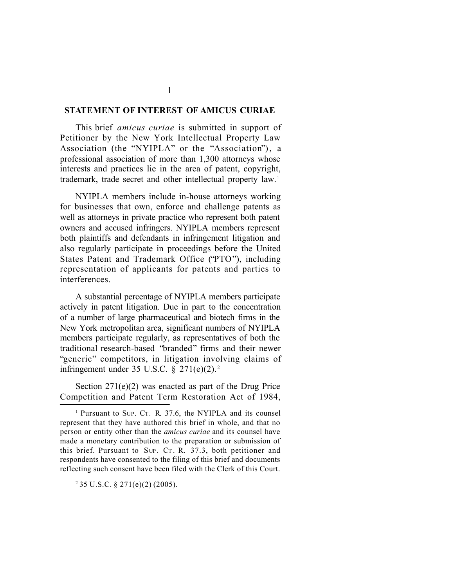#### **STATEMENT OF INTEREST OF AMICUS CURIAE**

This brief *amicus curiae* is submitted in support of Petitioner by the New York Intellectual Property Law Association (the "NYIPLA" or the "Association"), a professional association of more than 1,300 attorneys whose interests and practices lie in the area of patent, copyright, trademark, trade secret and other intellectual property law.<sup>1</sup>

NYIPLA members include in-house attorneys working for businesses that own, enforce and challenge patents as well as attorneys in private practice who represent both patent owners and accused infringers. NYIPLA members represent both plaintiffs and defendants in infringement litigation and also regularly participate in proceedings before the United States Patent and Trademark Office ("PTO"), including representation of applicants for patents and parties to interferences.

A substantial percentage of NYIPLA members participate actively in patent litigation. Due in part to the concentration of a number of large pharmaceutical and biotech firms in the New York metropolitan area, significant numbers of NYIPLA members participate regularly, as representatives of both the traditional research-based "branded" firms and their newer "generic" competitors, in litigation involving claims of infringement under 35 U.S.C.  $\S 271(e)(2)$ .<sup>2</sup>

Section 271(e)(2) was enacted as part of the Drug Price Competition and Patent Term Restoration Act of 1984,

2 35 U.S.C. § 271(e)(2) (2005).

1

<sup>1</sup> Pursuant to SUP. CT. R. 37.6, the NYIPLA and its counsel represent that they have authored this brief in whole, and that no person or entity other than the *amicus curiae* and its counsel have made a monetary contribution to the preparation or submission of this brief. Pursuant to  $SUP$ . CT. R. 37.3, both petitioner and respondents have consented to the filing of this brief and documents reflecting such consent have been filed with the Clerk of this Court.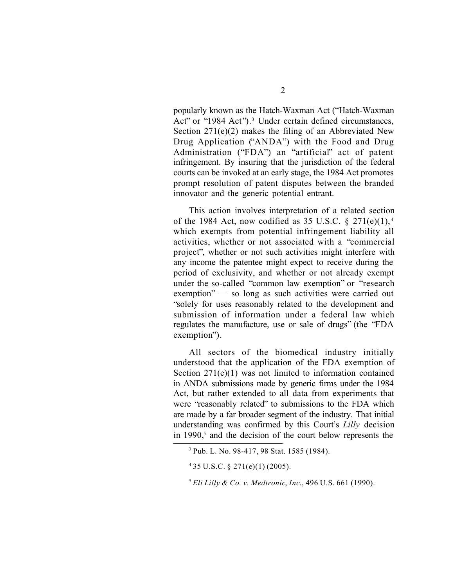popularly known as the Hatch-Waxman Act ("Hatch-Waxman Act" or "1984 Act").<sup>3</sup> Under certain defined circumstances, Section 271(e)(2) makes the filing of an Abbreviated New Drug Application ("ANDA") with the Food and Drug Administration ("FDA") an "artificial" act of patent infringement. By insuring that the jurisdiction of the federal courts can be invoked at an early stage, the 1984 Act promotes prompt resolution of patent disputes between the branded innovator and the generic potential entrant.

This action involves interpretation of a related section of the 1984 Act, now codified as 35 U.S.C.  $\S 271(e)(1)$ ,<sup>4</sup> which exempts from potential infringement liability all activities, whether or not associated with a "commercial project", whether or not such activities might interfere with any income the patentee might expect to receive during the period of exclusivity, and whether or not already exempt under the so-called "common law exemption" or "research exemption" — so long as such activities were carried out "solely for uses reasonably related to the development and submission of information under a federal law which regulates the manufacture, use or sale of drugs" (the "FDA exemption").

All sectors of the biomedical industry initially understood that the application of the FDA exemption of Section 271(e)(1) was not limited to information contained in ANDA submissions made by generic firms under the 1984 Act, but rather extended to all data from experiments that were "reasonably related" to submissions to the FDA which are made by a far broader segment of the industry. That initial understanding was confirmed by this Court's *Lilly* decision in  $1990<sub>5</sub>$  and the decision of the court below represents the

<sup>3</sup> Pub. L. No. 98-417, 98 Stat. 1585 (1984).

 $435 \text{ U.S.C.}$  §  $271(e)(1)$  (2005).

<sup>5</sup> *Eli Lilly & Co. v. Medtronic*, *Inc*., 496 U.S. 661 (1990).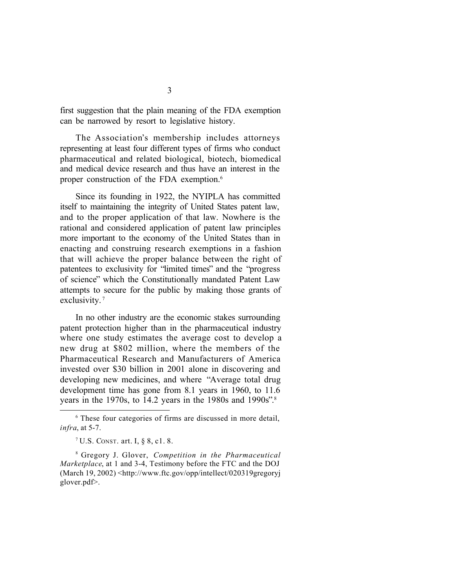first suggestion that the plain meaning of the FDA exemption can be narrowed by resort to legislative history.

The Association's membership includes attorneys representing at least four different types of firms who conduct pharmaceutical and related biological, biotech, biomedical and medical device research and thus have an interest in the proper construction of the FDA exemption.<sup>6</sup>

Since its founding in 1922, the NYIPLA has committed itself to maintaining the integrity of United States patent law, and to the proper application of that law. Nowhere is the rational and considered application of patent law principles more important to the economy of the United States than in enacting and construing research exemptions in a fashion that will achieve the proper balance between the right of patentees to exclusivity for "limited times" and the "progress of science" which the Constitutionally mandated Patent Law attempts to secure for the public by making those grants of exclusivity.<sup>7</sup>

In no other industry are the economic stakes surrounding patent protection higher than in the pharmaceutical industry where one study estimates the average cost to develop a new drug at \$802 million, where the members of the Pharmaceutical Research and Manufacturers of America invested over \$30 billion in 2001 alone in discovering and developing new medicines, and where "Average total drug development time has gone from 8.1 years in 1960, to 11.6 years in the 1970s, to 14.2 years in the 1980s and 1990s". 8

<sup>&</sup>lt;sup>6</sup> These four categories of firms are discussed in more detail, *infra*, at 5-7.

<sup>7</sup> U.S. CONST. art. I, § 8, c1. 8.

<sup>8</sup> Gregory J. Glover, *Competition in the Pharmaceutical Marketplace*, at 1 and 3-4, Testimony before the FTC and the DOJ (March 19, 2002) <http://www.ftc.gov/opp/intellect/020319gregoryj glover.pdf>.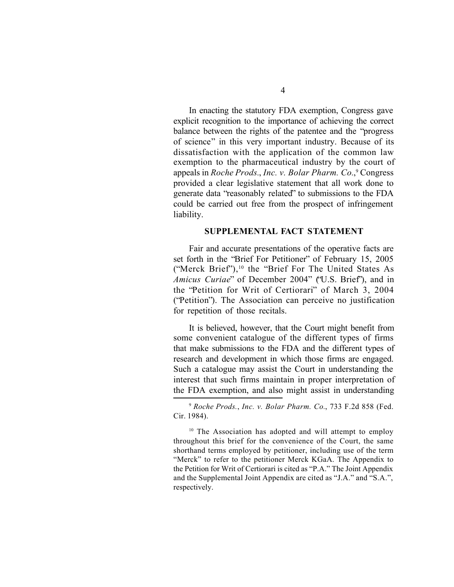In enacting the statutory FDA exemption, Congress gave explicit recognition to the importance of achieving the correct balance between the rights of the patentee and the "progress of science" in this very important industry. Because of its dissatisfaction with the application of the common law exemption to the pharmaceutical industry by the court of appeals in *Roche Prods.*, *Inc. v. Bolar Pharm. Co.*, 9 Congress provided a clear legislative statement that all work done to generate data "reasonably related" to submissions to the FDA could be carried out free from the prospect of infringement liability.

#### **SUPPLEMENTAL FACT STATEMENT**

Fair and accurate presentations of the operative facts are set forth in the "Brief For Petitioner" of February 15, 2005 ("Merck Brief"),10 the "Brief For The United States As *Amicus Curiae*" of December 2004" ("U.S. Brief"), and in the "Petition for Writ of Certiorari" of March 3, 2004 ("Petition"). The Association can perceive no justification for repetition of those recitals.

It is believed, however, that the Court might benefit from some convenient catalogue of the different types of firms that make submissions to the FDA and the different types of research and development in which those firms are engaged. Such a catalogue may assist the Court in understanding the interest that such firms maintain in proper interpretation of the FDA exemption, and also might assist in understanding

<sup>9</sup> *Roche Prods.*, *Inc. v. Bolar Pharm. Co.*, 733 F.2d 858 (Fed. Cir. 1984).

<sup>10</sup> The Association has adopted and will attempt to employ throughout this brief for the convenience of the Court, the same shorthand terms employed by petitioner, including use of the term "Merck" to refer to the petitioner Merck KGaA. The Appendix to the Petition for Writ of Certiorari is cited as "P.A." The Joint Appendix and the Supplemental Joint Appendix are cited as "J.A." and "S.A.", respectively.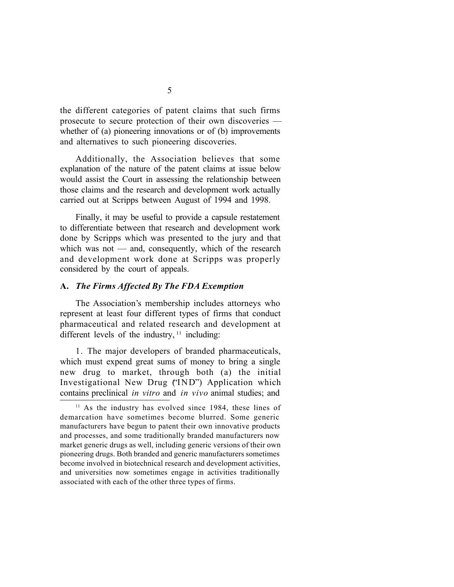the different categories of patent claims that such firms prosecute to secure protection of their own discoveries whether of (a) pioneering innovations or of (b) improvements and alternatives to such pioneering discoveries.

Additionally, the Association believes that some explanation of the nature of the patent claims at issue below would assist the Court in assessing the relationship between those claims and the research and development work actually carried out at Scripps between August of 1994 and 1998.

Finally, it may be useful to provide a capsule restatement to differentiate between that research and development work done by Scripps which was presented to the jury and that which was not  $-$  and, consequently, which of the research and development work done at Scripps was properly considered by the court of appeals.

#### **A.** *The Firms Affected By The FDA Exemption*

The Association's membership includes attorneys who represent at least four different types of firms that conduct pharmaceutical and related research and development at different levels of the industry,  $11$  including:

1. The major developers of branded pharmaceuticals, which must expend great sums of money to bring a single new drug to market, through both (a) the initial Investigational New Drug ("IND") Application which contains preclinical *in vitro* and *in vivo* animal studies; and

<sup>&</sup>lt;sup>11</sup> As the industry has evolved since 1984, these lines of demarcation have sometimes become blurred. Some generic manufacturers have begun to patent their own innovative products and processes, and some traditionally branded manufacturers now market generic drugs as well, including generic versions of their own pioneering drugs. Both branded and generic manufacturers sometimes become involved in biotechnical research and development activities, and universities now sometimes engage in activities traditionally associated with each of the other three types of firms.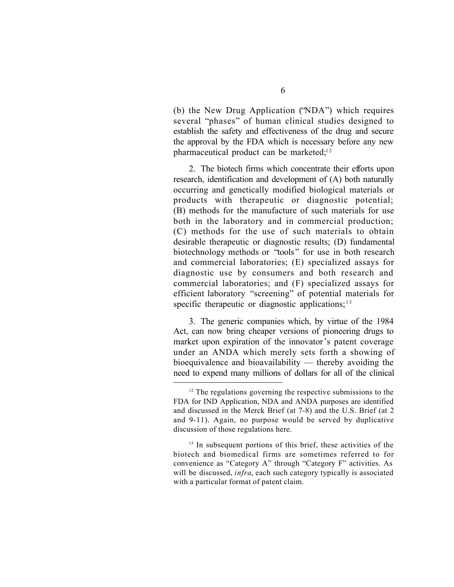(b) the New Drug Application ("NDA") which requires several "phases" of human clinical studies designed to establish the safety and effectiveness of the drug and secure the approval by the FDA which is necessary before any new pharmaceutical product can be marketed; $12$ 

2. The biotech firms which concentrate their efforts upon research, identification and development of (A) both naturally occurring and genetically modified biological materials or products with therapeutic or diagnostic potential; (B) methods for the manufacture of such materials for use both in the laboratory and in commercial production; (C) methods for the use of such materials to obtain desirable therapeutic or diagnostic results; (D) fundamental biotechnology methods or "tools" for use in both research and commercial laboratories; (E) specialized assays for diagnostic use by consumers and both research and commercial laboratories; and (F) specialized assays for efficient laboratory "screening" of potential materials for specific therapeutic or diagnostic applications; $13$ 

3. The generic companies which, by virtue of the 1984 Act, can now bring cheaper versions of pioneering drugs to market upon expiration of the innovator's patent coverage under an ANDA which merely sets forth a showing of bioequivalence and bioavailability — thereby avoiding the need to expend many millions of dollars for all of the clinical

 $12$  The regulations governing the respective submissions to the FDA for IND Application, NDA and ANDA purposes are identified and discussed in the Merck Brief (at 7-8) and the U.S. Brief (at 2 and 9-11). Again, no purpose would be served by duplicative discussion of those regulations here.

<sup>&</sup>lt;sup>13</sup> In subsequent portions of this brief, these activities of the biotech and biomedical firms are sometimes referred to for convenience as "Category A" through "Category F" activities. As will be discussed, *infra*, each such category typically is associated with a particular format of patent claim.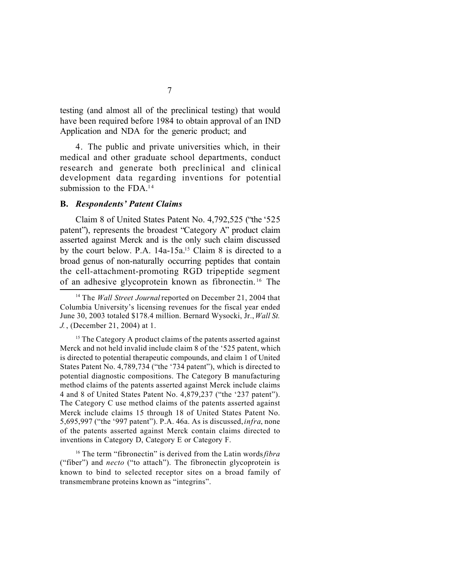testing (and almost all of the preclinical testing) that would have been required before 1984 to obtain approval of an IND Application and NDA for the generic product; and

4. The public and private universities which, in their medical and other graduate school departments, conduct research and generate both preclinical and clinical development data regarding inventions for potential submission to the FDA.<sup>14</sup>

#### **B.** *Respondents' Patent Claims*

Claim 8 of United States Patent No. 4,792,525 ("the '525 patent"), represents the broadest "Category A" product claim asserted against Merck and is the only such claim discussed by the court below. P.A. 14a-15a.<sup>15</sup> Claim 8 is directed to a broad genus of non-naturally occurring peptides that contain the cell-attachment-promoting RGD tripeptide segment of an adhesive glycoprotein known as fibronectin. <sup>16</sup> The

<sup>&</sup>lt;sup>14</sup> The *Wall Street Journal* reported on December 21, 2004 that Columbia University's licensing revenues for the fiscal year ended June 30, 2003 totaled \$178.4 million. Bernard Wysocki, Jr., *Wall St. J.*, (December 21, 2004) at 1.

<sup>&</sup>lt;sup>15</sup> The Category A product claims of the patents asserted against Merck and not held invalid include claim 8 of the '525 patent, which is directed to potential therapeutic compounds, and claim 1 of United States Patent No. 4,789,734 ("the '734 patent"), which is directed to potential diagnostic compositions. The Category B manufacturing method claims of the patents asserted against Merck include claims 4 and 8 of United States Patent No. 4,879,237 ("the '237 patent"). The Category C use method claims of the patents asserted against Merck include claims 15 through 18 of United States Patent No. 5,695,997 ("the '997 patent"). P.A. 46a. As is discussed, *infra*, none of the patents asserted against Merck contain claims directed to inventions in Category D, Category E or Category F.

<sup>16</sup> The term "fibronectin" is derived from the Latin words *fibra* ("fiber") and *necto* ("to attach"). The fibronectin glycoprotein is known to bind to selected receptor sites on a broad family of transmembrane proteins known as "integrins".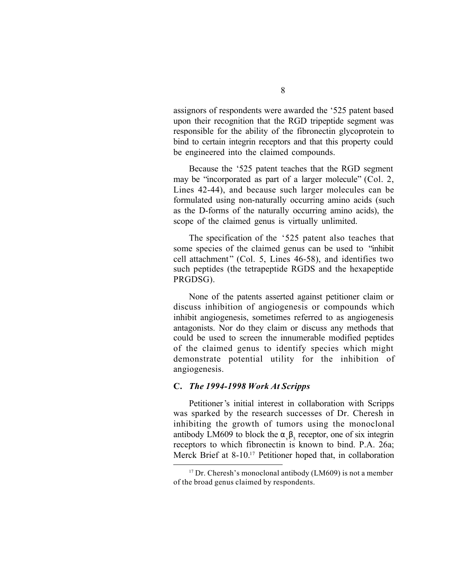assignors of respondents were awarded the '525 patent based upon their recognition that the RGD tripeptide segment was responsible for the ability of the fibronectin glycoprotein to bind to certain integrin receptors and that this property could be engineered into the claimed compounds.

Because the '525 patent teaches that the RGD segment may be "incorporated as part of a larger molecule" (Col. 2, Lines 42-44), and because such larger molecules can be formulated using non-naturally occurring amino acids (such as the D-forms of the naturally occurring amino acids), the scope of the claimed genus is virtually unlimited.

The specification of the '525 patent also teaches that some species of the claimed genus can be used to "inhibit cell attachment " (Col. 5, Lines 46-58), and identifies two such peptides (the tetrapeptide RGDS and the hexapeptide PRGDSG).

None of the patents asserted against petitioner claim or discuss inhibition of angiogenesis or compounds which inhibit angiogenesis, sometimes referred to as angiogenesis antagonists. Nor do they claim or discuss any methods that could be used to screen the innumerable modified peptides of the claimed genus to identify species which might demonstrate potential utility for the inhibition of angiogenesis.

#### **C.** *The 1994-1998 Work At Scripps*

Petitioner's initial interest in collaboration with Scripps was sparked by the research successes of Dr. Cheresh in inhibiting the growth of tumors using the monoclonal antibody LM609 to block the  $\alpha_{v} \beta_{3}$  receptor, one of six integrin receptors to which fibronectin is known to bind. P.A. 26a; Merck Brief at 8-10.<sup>17</sup> Petitioner hoped that, in collaboration

 $17$  Dr. Cheresh's monoclonal antibody (LM609) is not a member of the broad genus claimed by respondents.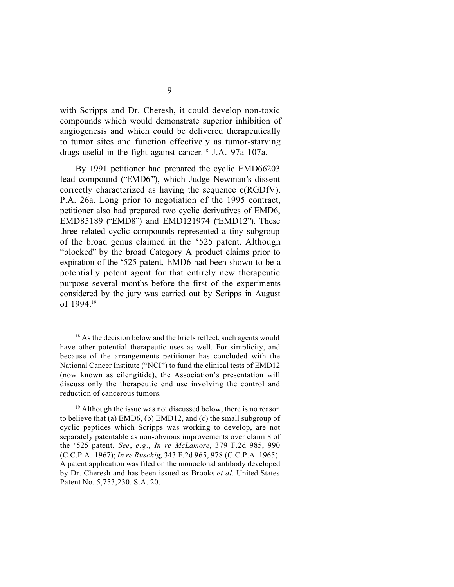with Scripps and Dr. Cheresh, it could develop non-toxic compounds which would demonstrate superior inhibition of angiogenesis and which could be delivered therapeutically to tumor sites and function effectively as tumor-starving drugs useful in the fight against cancer.18 J.A. 97a-107a.

By 1991 petitioner had prepared the cyclic EMD66203 lead compound ("EMD6"), which Judge Newman's dissent correctly characterized as having the sequence c(RGDfV). P.A. 26a. Long prior to negotiation of the 1995 contract, petitioner also had prepared two cyclic derivatives of EMD6, EMD85189 ("EMD8") and EMD121974 ("EMD12"). These three related cyclic compounds represented a tiny subgroup of the broad genus claimed in the '525 patent. Although "blocked" by the broad Category A product claims prior to expiration of the '525 patent, EMD6 had been shown to be a potentially potent agent for that entirely new therapeutic purpose several months before the first of the experiments considered by the jury was carried out by Scripps in August of 1994.<sup>19</sup>

<sup>&</sup>lt;sup>18</sup> As the decision below and the briefs reflect, such agents would have other potential therapeutic uses as well. For simplicity, and because of the arrangements petitioner has concluded with the National Cancer Institute ("NCI") to fund the clinical tests of EMD12 (now known as cilengitide), the Association's presentation will discuss only the therapeutic end use involving the control and reduction of cancerous tumors.

<sup>&</sup>lt;sup>19</sup> Although the issue was not discussed below, there is no reason to believe that (a) EMD6, (b) EMD12, and (c) the small subgroup of cyclic peptides which Scripps was working to develop, are not separately patentable as non-obvious improvements over claim 8 of the '525 patent. *See*, *e.g.*, *In re McLamore*, 379 F.2d 985, 990 (C.C.P.A. 1967); *In re Ruschig*, 343 F.2d 965, 978 (C.C.P.A. 1965). A patent application was filed on the monoclonal antibody developed by Dr. Cheresh and has been issued as Brooks *et al.* United States Patent No. 5,753,230. S.A. 20.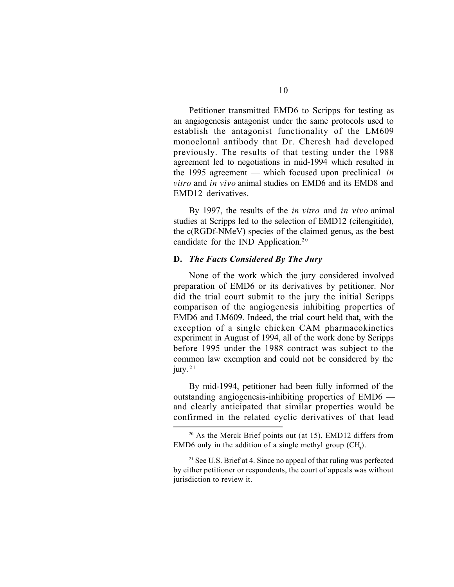Petitioner transmitted EMD6 to Scripps for testing as an angiogenesis antagonist under the same protocols used to establish the antagonist functionality of the LM609 monoclonal antibody that Dr. Cheresh had developed previously. The results of that testing under the 1988 agreement led to negotiations in mid-1994 which resulted in the 1995 agreement — which focused upon preclinical *in vitro* and *in vivo* animal studies on EMD6 and its EMD8 and EMD12 derivatives.

By 1997, the results of the *in vitro* and *in vivo* animal studies at Scripps led to the selection of EMD12 (cilengitide), the c(RGDf-NMeV) species of the claimed genus, as the best candidate for the IND Application.<sup>20</sup>

#### **D.** *The Facts Considered By The Jury*

None of the work which the jury considered involved preparation of EMD6 or its derivatives by petitioner. Nor did the trial court submit to the jury the initial Scripps comparison of the angiogenesis inhibiting properties of EMD6 and LM609. Indeed, the trial court held that, with the exception of a single chicken CAM pharmacokinetics experiment in August of 1994, all of the work done by Scripps before 1995 under the 1988 contract was subject to the common law exemption and could not be considered by the jury.  $2<sup>1</sup>$ 

By mid-1994, petitioner had been fully informed of the outstanding angiogenesis-inhibiting properties of EMD6 and clearly anticipated that similar properties would be confirmed in the related cyclic derivatives of that lead

 $20$  As the Merck Brief points out (at 15), EMD12 differs from EMD6 only in the addition of a single methyl group  $(CH<sub>3</sub>)$ .

<sup>&</sup>lt;sup>21</sup> See U.S. Brief at 4. Since no appeal of that ruling was perfected by either petitioner or respondents, the court of appeals was without jurisdiction to review it.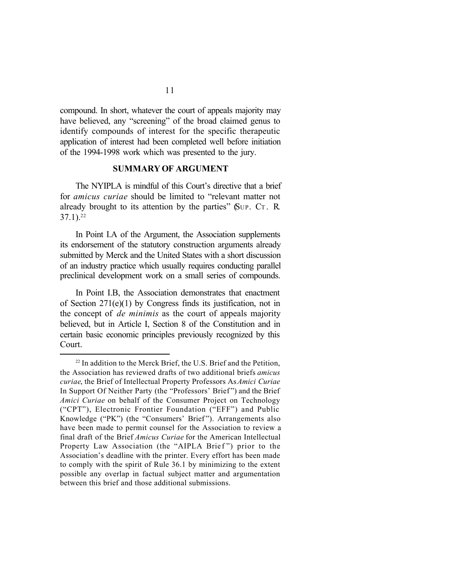compound. In short, whatever the court of appeals majority may have believed, any "screening" of the broad claimed genus to identify compounds of interest for the specific therapeutic application of interest had been completed well before initiation of the 1994-1998 work which was presented to the jury.

#### **SUMMARY OF ARGUMENT**

The NYIPLA is mindful of this Court's directive that a brief for *amicus curiae* should be limited to "relevant matter not already brought to its attention by the parties" (SUP. C<sup>T</sup> . R.  $37.1$ ).<sup>22</sup>

In Point I.A of the Argument, the Association supplements its endorsement of the statutory construction arguments already submitted by Merck and the United States with a short discussion of an industry practice which usually requires conducting parallel preclinical development work on a small series of compounds.

In Point I.B, the Association demonstrates that enactment of Section 271(e)(1) by Congress finds its justification, not in the concept of *de minimis* as the court of appeals majority believed, but in Article I, Section 8 of the Constitution and in certain basic economic principles previously recognized by this Court.

<sup>&</sup>lt;sup>22</sup> In addition to the Merck Brief, the U.S. Brief and the Petition, the Association has reviewed drafts of two additional briefs *amicus curiae*, the Brief of Intellectual Property Professors As *Amici Curiae* In Support Of Neither Party (the "Professors' Brief ") and the Brief *Amici Curiae* on behalf of the Consumer Project on Technology ("CPT"), Electronic Frontier Foundation ("EFF") and Public Knowledge ("PK") (the "Consumers' Brief"). Arrangements also have been made to permit counsel for the Association to review a final draft of the Brief *Amicus Curiae* for the American Intellectual Property Law Association (the "AIPLA Brief") prior to the Association's deadline with the printer. Every effort has been made to comply with the spirit of Rule 36.1 by minimizing to the extent possible any overlap in factual subject matter and argumentation between this brief and those additional submissions.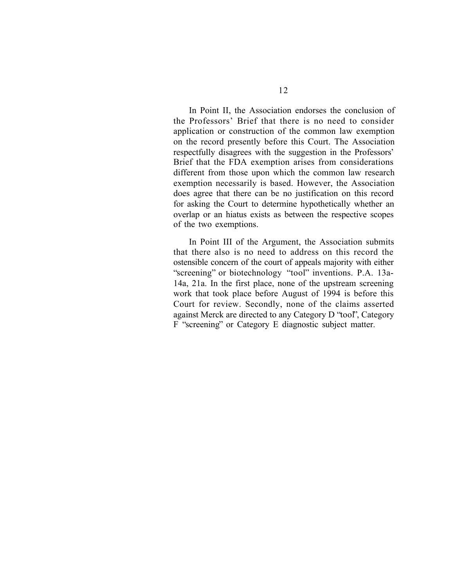In Point II, the Association endorses the conclusion of the Professors' Brief that there is no need to consider application or construction of the common law exemption on the record presently before this Court. The Association respectfully disagrees with the suggestion in the Professors' Brief that the FDA exemption arises from considerations different from those upon which the common law research exemption necessarily is based. However, the Association does agree that there can be no justification on this record for asking the Court to determine hypothetically whether an overlap or an hiatus exists as between the respective scopes of the two exemptions.

In Point III of the Argument, the Association submits that there also is no need to address on this record the ostensible concern of the court of appeals majority with either "screening" or biotechnology "tool" inventions. P.A. 13a-14a, 21a. In the first place, none of the upstream screening work that took place before August of 1994 is before this Court for review. Secondly, none of the claims asserted against Merck are directed to any Category D "tool", Category F "screening" or Category E diagnostic subject matter.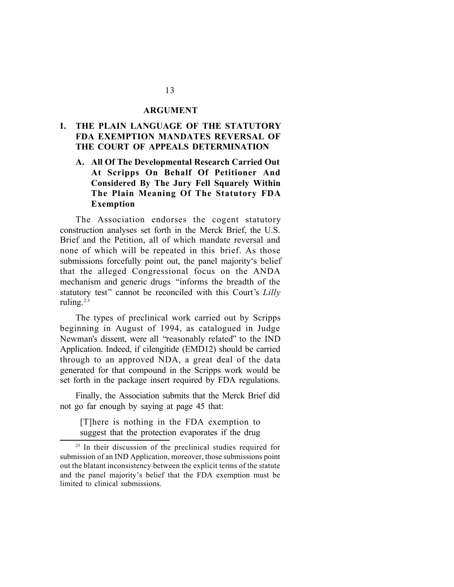#### **ARGUMENT**

## **I. THE PLAIN LANGUAGE OF THE STATUTORY FDA EXEMPTION MANDATES REVERSAL OF THE COURT OF APPEALS DETERMINATION**

## **A. All Of The Developmental Research Carried Out At Scripps On Behalf Of Petitioner And Considered By The Jury Fell Squarely Within The Plain Meaning Of The Statutory FDA Exemption**

The Association endorses the cogent statutory construction analyses set forth in the Merck Brief, the U.S. Brief and the Petition, all of which mandate reversal and none of which will be repeated in this brief. As those submissions forcefully point out, the panel majority's belief that the alleged Congressional focus on the ANDA mechanism and generic drugs "informs the breadth of the statutory test" cannot be reconciled with this Court's *Lilly* ruling.<sup>23</sup>

The types of preclinical work carried out by Scripps beginning in August of 1994, as catalogued in Judge Newman's dissent, were all "reasonably related" to the IND Application. Indeed, if cilengitide (EMD12) should be carried through to an approved NDA, a great deal of the data generated for that compound in the Scripps work would be set forth in the package insert required by FDA regulations.

Finally, the Association submits that the Merck Brief did not go far enough by saying at page 45 that:

[T]here is nothing in the FDA exemption to suggest that the protection evaporates if the drug

<sup>&</sup>lt;sup>23</sup> In their discussion of the preclinical studies required for submission of an IND Application, moreover, those submissions point out the blatant inconsistency between the explicit terms of the statute and the panel majority's belief that the FDA exemption must be limited to clinical submissions.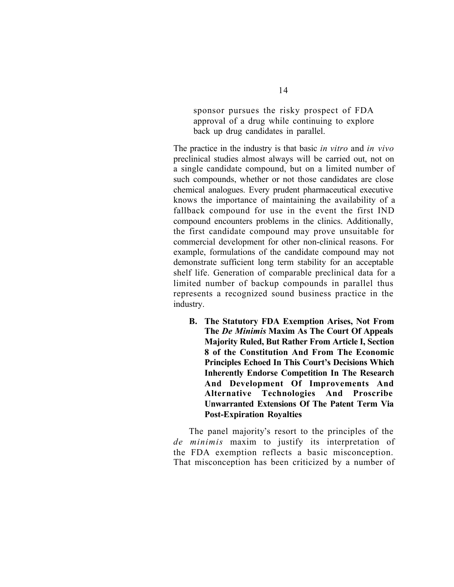sponsor pursues the risky prospect of FDA approval of a drug while continuing to explore back up drug candidates in parallel.

The practice in the industry is that basic *in vitro* and *in vivo* preclinical studies almost always will be carried out, not on a single candidate compound, but on a limited number of such compounds, whether or not those candidates are close chemical analogues. Every prudent pharmaceutical executive knows the importance of maintaining the availability of a fallback compound for use in the event the first IND compound encounters problems in the clinics. Additionally, the first candidate compound may prove unsuitable for commercial development for other non-clinical reasons. For example, formulations of the candidate compound may not demonstrate sufficient long term stability for an acceptable shelf life. Generation of comparable preclinical data for a limited number of backup compounds in parallel thus represents a recognized sound business practice in the industry.

**B. The Statutory FDA Exemption Arises, Not From The** *De Minimis* **Maxim As The Court Of Appeals Majority Ruled, But Rather From Article I, Section 8 of the Constitution And From The Economic Principles Echoed In This Court's Decisions Which Inherently Endorse Competition In The Research And Development Of Improvements And Alternative Technologies And Proscribe Unwarranted Extensions Of The Patent Term Via Post-Expiration Royalties**

The panel majority's resort to the principles of the *de minimis* maxim to justify its interpretation of the FDA exemption reflects a basic misconception. That misconception has been criticized by a number of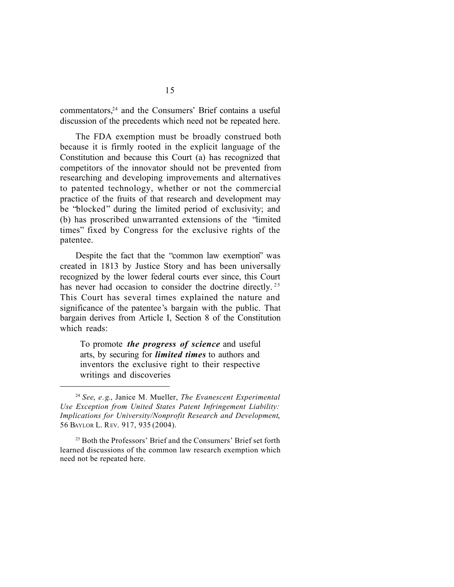commentators,24 and the Consumers' Brief contains a useful discussion of the precedents which need not be repeated here.

The FDA exemption must be broadly construed both because it is firmly rooted in the explicit language of the Constitution and because this Court (a) has recognized that competitors of the innovator should not be prevented from researching and developing improvements and alternatives to patented technology, whether or not the commercial practice of the fruits of that research and development may be "blocked" during the limited period of exclusivity; and (b) has proscribed unwarranted extensions of the "limited times" fixed by Congress for the exclusive rights of the patentee.

Despite the fact that the "common law exemption" was created in 1813 by Justice Story and has been universally recognized by the lower federal courts ever since, this Court has never had occasion to consider the doctrine directly.<sup>25</sup> This Court has several times explained the nature and significance of the patentee's bargain with the public. That bargain derives from Article I, Section 8 of the Constitution which reads:

To promote *the progress of science* and useful arts, by securing for *limited times* to authors and inventors the exclusive right to their respective writings and discoveries

<sup>24</sup> *See*, *e.g*., Janice M. Mueller, *The Evanescent Experimental Use Exception from United States Patent Infringement Liability: Implications for University/Nonprofit Research and Development*, 56 BAYLOR L. REV. 917, 935 (2004).

<sup>&</sup>lt;sup>25</sup> Both the Professors' Brief and the Consumers' Brief set forth learned discussions of the common law research exemption which need not be repeated here.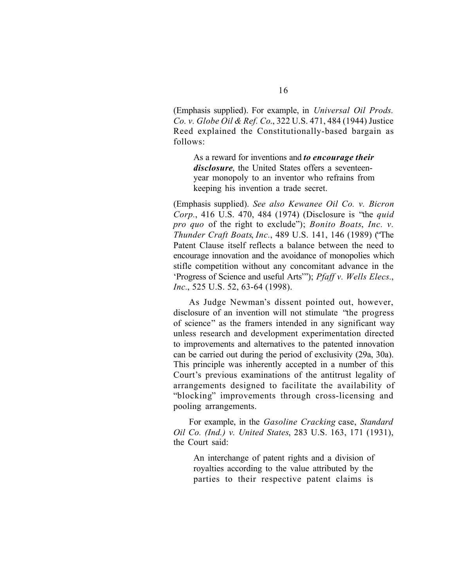(Emphasis supplied). For example, in *Universal Oil Prods. Co. v. Globe Oil & Ref. Co*., 322 U.S. 471, 484 (1944) Justice Reed explained the Constitutionally-based bargain as follows:

As a reward for inventions and *to encourage their disclosure*, the United States offers a seventeenyear monopoly to an inventor who refrains from keeping his invention a trade secret.

(Emphasis supplied). *See also Kewanee Oil Co. v. Bicron Corp.*, 416 U.S. 470, 484 (1974) (Disclosure is "the *quid pro quo* of the right to exclude"); *Bonito Boats*, *Inc. v. Thunder Craft Boats*, *Inc.*, 489 U.S. 141, 146 (1989) ("The Patent Clause itself reflects a balance between the need to encourage innovation and the avoidance of monopolies which stifle competition without any concomitant advance in the 'Progress of Science and useful Arts'"); *Pfaff v. Wells Elecs.*, *Inc.*, 525 U.S. 52, 63-64 (1998).

As Judge Newman's dissent pointed out, however, disclosure of an invention will not stimulate "the progress of science" as the framers intended in any significant way unless research and development experimentation directed to improvements and alternatives to the patented innovation can be carried out during the period of exclusivity (29a, 30a). This principle was inherently accepted in a number of this Court's previous examinations of the antitrust legality of arrangements designed to facilitate the availability of "blocking" improvements through cross-licensing and pooling arrangements.

For example, in the *Gasoline Cracking* case, *Standard Oil Co. (Ind.) v. United States*, 283 U.S. 163, 171 (1931), the Court said:

An interchange of patent rights and a division of royalties according to the value attributed by the parties to their respective patent claims is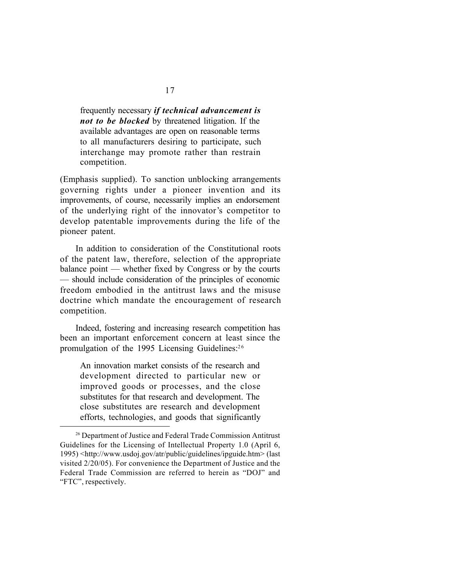frequently necessary *if technical advancement is not to be blocked* by threatened litigation. If the available advantages are open on reasonable terms to all manufacturers desiring to participate, such interchange may promote rather than restrain competition.

(Emphasis supplied). To sanction unblocking arrangements governing rights under a pioneer invention and its improvements, of course, necessarily implies an endorsement of the underlying right of the innovator's competitor to develop patentable improvements during the life of the pioneer patent.

In addition to consideration of the Constitutional roots of the patent law, therefore, selection of the appropriate balance point — whether fixed by Congress or by the courts — should include consideration of the principles of economic freedom embodied in the antitrust laws and the misuse doctrine which mandate the encouragement of research competition.

Indeed, fostering and increasing research competition has been an important enforcement concern at least since the promulgation of the 1995 Licensing Guidelines:<sup>26</sup>

An innovation market consists of the research and development directed to particular new or improved goods or processes, and the close substitutes for that research and development. The close substitutes are research and development efforts, technologies, and goods that significantly

<sup>26</sup> Department of Justice and Federal Trade Commission Antitrust Guidelines for the Licensing of Intellectual Property 1.0 (April 6, 1995) <http://www.usdoj.gov/atr/public/guidelines/ipguide.htm> (last visited 2/20/05). For convenience the Department of Justice and the Federal Trade Commission are referred to herein as "DOJ" and "FTC", respectively.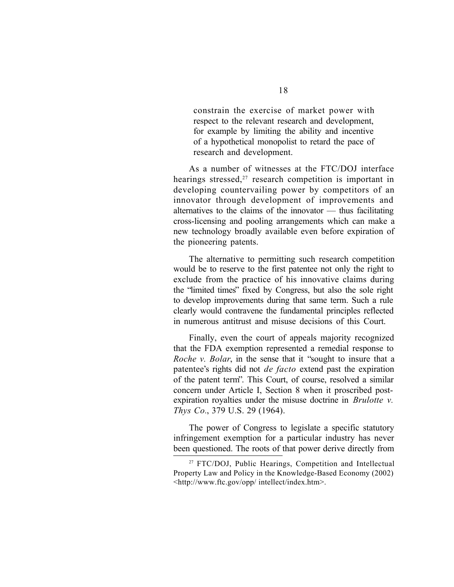constrain the exercise of market power with respect to the relevant research and development, for example by limiting the ability and incentive of a hypothetical monopolist to retard the pace of research and development.

As a number of witnesses at the FTC/DOJ interface hearings stressed, $27$  research competition is important in developing countervailing power by competitors of an innovator through development of improvements and alternatives to the claims of the innovator — thus facilitating cross-licensing and pooling arrangements which can make a new technology broadly available even before expiration of the pioneering patents.

The alternative to permitting such research competition would be to reserve to the first patentee not only the right to exclude from the practice of his innovative claims during the "limited times" fixed by Congress, but also the sole right to develop improvements during that same term. Such a rule clearly would contravene the fundamental principles reflected in numerous antitrust and misuse decisions of this Court.

Finally, even the court of appeals majority recognized that the FDA exemption represented a remedial response to *Roche v. Bolar*, in the sense that it "sought to insure that a patentee's rights did not *de facto* extend past the expiration of the patent term". This Court, of course, resolved a similar concern under Article I, Section 8 when it proscribed postexpiration royalties under the misuse doctrine in *Brulotte v. Thys Co.*, 379 U.S. 29 (1964).

The power of Congress to legislate a specific statutory infringement exemption for a particular industry has never been questioned. The roots of that power derive directly from

<sup>27</sup> FTC/DOJ, Public Hearings, Competition and Intellectual Property Law and Policy in the Knowledge-Based Economy (2002) <http://www.ftc.gov/opp/ intellect/index.htm>.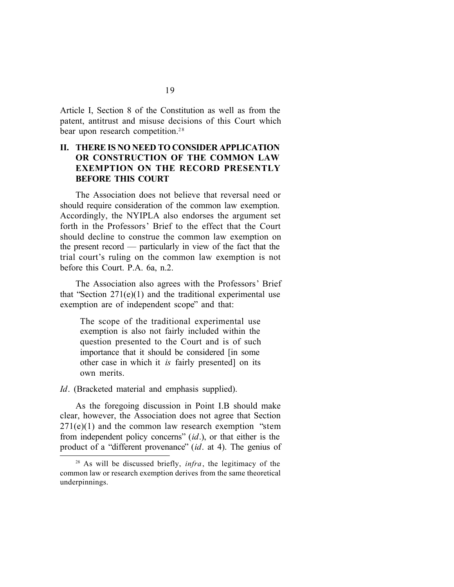Article I, Section 8 of the Constitution as well as from the patent, antitrust and misuse decisions of this Court which bear upon research competition.<sup>28</sup>

## **II. THERE IS NO NEED TO CONSIDER APPLICATION OR CONSTRUCTION OF THE COMMON LAW EXEMPTION ON THE RECORD PRESENTLY BEFORE THIS COURT**

The Association does not believe that reversal need or should require consideration of the common law exemption. Accordingly, the NYIPLA also endorses the argument set forth in the Professors' Brief to the effect that the Court should decline to construe the common law exemption on the present record — particularly in view of the fact that the trial court's ruling on the common law exemption is not before this Court. P.A. 6a, n.2.

The Association also agrees with the Professors' Brief that "Section 271(e)(1) and the traditional experimental use exemption are of independent scope" and that:

The scope of the traditional experimental use exemption is also not fairly included within the question presented to the Court and is of such importance that it should be considered [in some other case in which it *is* fairly presented] on its own merits.

*Id.* (Bracketed material and emphasis supplied).

As the foregoing discussion in Point I.B should make clear, however, the Association does not agree that Section  $271(e)(1)$  and the common law research exemption "stem" from independent policy concerns" (*id*.), or that either is the product of a "different provenance" (*id*. at 4). The genius of

<sup>28</sup> As will be discussed briefly, *infra*, the legitimacy of the common law or research exemption derives from the same theoretical underpinnings.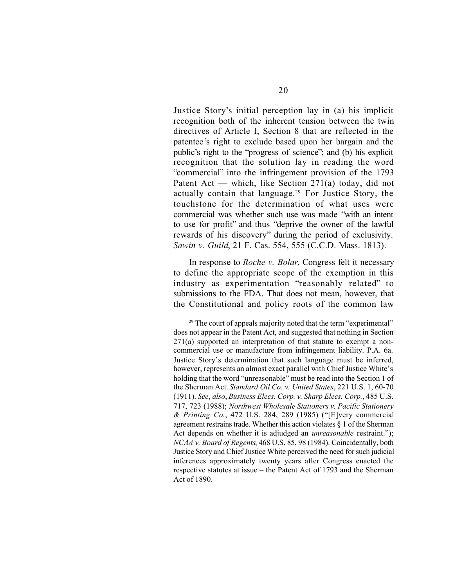Justice Story's initial perception lay in (a) his implicit recognition both of the inherent tension between the twin directives of Article I, Section 8 that are reflected in the patentee's right to exclude based upon her bargain and the public's right to the "progress of science"; and (b) his explicit recognition that the solution lay in reading the word "commercial" into the infringement provision of the 1793 Patent Act — which, like Section 271(a) today, did not actually contain that language.29 For Justice Story, the touchstone for the determination of what uses were commercial was whether such use was made "with an intent to use for profit" and thus "deprive the owner of the lawful rewards of his discovery" during the period of exclusivity. *Sawin v. Guild*, 21 F. Cas. 554, 555 (C.C.D. Mass. 1813).

In response to *Roche v. Bolar*, Congress felt it necessary to define the appropriate scope of the exemption in this industry as experimentation "reasonably related" to submissions to the FDA. That does not mean, however, that the Constitutional and policy roots of the common law

 $29$  The court of appeals majority noted that the term "experimental" does not appear in the Patent Act, and suggested that nothing in Section 271(a) supported an interpretation of that statute to exempt a noncommercial use or manufacture from infringement liability. P.A. 6a. Justice Story's determination that such language must be inferred, however, represents an almost exact parallel with Chief Justice White's holding that the word "unreasonable" must be read into the Section 1 of the Sherman Act. *Standard Oil Co. v. United States*, 221 U.S. 1, 60-70 (1911). *See*, *also*, *Business Elecs. Corp. v. Sharp Elecs. Corp.*, 485 U.S. 717, 723 (1988); *Northwest Wholesale Stationers v. Pacific Stationery & Printing Co.*, 472 U.S. 284, 289 (1985) ("[E]very commercial agreement restrains trade. Whether this action violates  $\S$  1 of the Sherman Act depends on whether it is adjudged an *unreasonable* restraint."); *NCAA v. Board of Regents*, 468 U.S. 85, 98 (1984). Coincidentally, both Justice Story and Chief Justice White perceived the need for such judicial inferences approximately twenty years after Congress enacted the respective statutes at issue – the Patent Act of 1793 and the Sherman Act of 1890.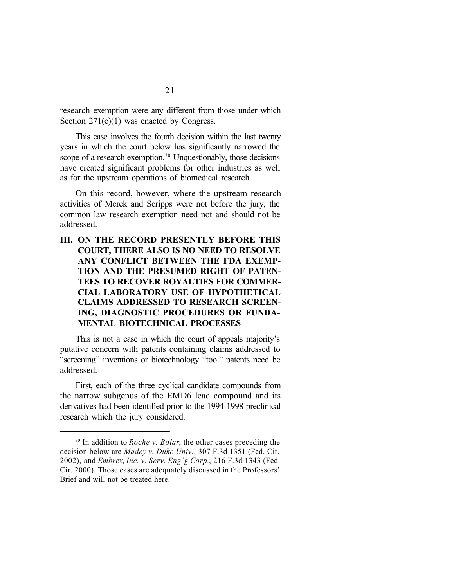research exemption were any different from those under which Section 271(e)(1) was enacted by Congress.

This case involves the fourth decision within the last twenty years in which the court below has significantly narrowed the scope of a research exemption.<sup>30</sup> Unquestionably, those decisions have created significant problems for other industries as well as for the upstream operations of biomedical research.

On this record, however, where the upstream research activities of Merck and Scripps were not before the jury, the common law research exemption need not and should not be addressed.

## **III. ON THE RECORD PRESENTLY BEFORE THIS COURT, THERE ALSO IS NO NEED TO RESOLVE ANY CONFLICT BETWEEN THE FDA EXEMP-TION AND THE PRESUMED RIGHT OF PATEN-TEES TO RECOVER ROYALTIES FOR COMMER-CIAL LABORATORY USE OF HYPOTHETICAL CLAIMS ADDRESSED TO RESEARCH SCREEN-ING, DIAGNOSTIC PROCEDURES OR FUNDA-MENTAL BIOTECHNICAL PROCESSES**

This is not a case in which the court of appeals majority's putative concern with patents containing claims addressed to "screening" inventions or biotechnology "tool" patents need be addressed.

First, each of the three cyclical candidate compounds from the narrow subgenus of the EMD6 lead compound and its derivatives had been identified prior to the 1994-1998 preclinical research which the jury considered.

<sup>&</sup>lt;sup>30</sup> In addition to *Roche v. Bolar*, the other cases preceding the decision below are *Madey v. Duke Univ.*, 307 F.3d 1351 (Fed. Cir. 2002), and *Embrex*, *Inc. v. Serv. Eng'g Corp.*, 216 F.3d 1343 (Fed. Cir. 2000). Those cases are adequately discussed in the Professors' Brief and will not be treated here.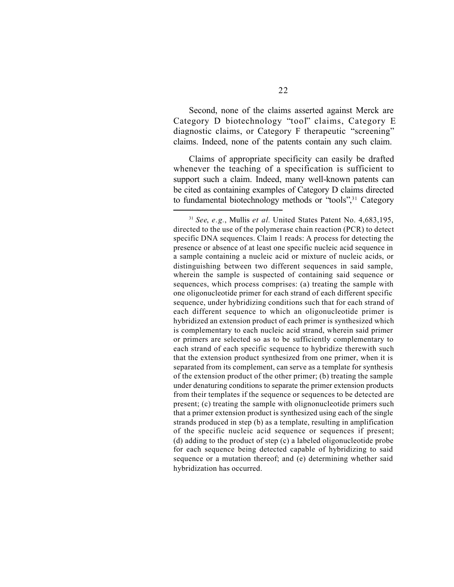Second, none of the claims asserted against Merck are Category D biotechnology "tool" claims, Category E diagnostic claims, or Category F therapeutic "screening" claims. Indeed, none of the patents contain any such claim.

Claims of appropriate specificity can easily be drafted whenever the teaching of a specification is sufficient to support such a claim. Indeed, many well-known patents can be cited as containing examples of Category D claims directed to fundamental biotechnology methods or "tools",<sup>31</sup> Category

<sup>31</sup> *See*, *e.g.*, Mullis *et al.* United States Patent No. 4,683,195, directed to the use of the polymerase chain reaction (PCR) to detect specific DNA sequences. Claim 1 reads: A process for detecting the presence or absence of at least one specific nucleic acid sequence in a sample containing a nucleic acid or mixture of nucleic acids, or distinguishing between two different sequences in said sample, wherein the sample is suspected of containing said sequence or sequences, which process comprises: (a) treating the sample with one oligonucleotide primer for each strand of each different specific sequence, under hybridizing conditions such that for each strand of each different sequence to which an oligonucleotide primer is hybridized an extension product of each primer is synthesized which is complementary to each nucleic acid strand, wherein said primer or primers are selected so as to be sufficiently complementary to each strand of each specific sequence to hybridize therewith such that the extension product synthesized from one primer, when it is separated from its complement, can serve as a template for synthesis of the extension product of the other primer; (b) treating the sample under denaturing conditions to separate the primer extension products from their templates if the sequence or sequences to be detected are present; (c) treating the sample with olignonucleotide primers such that a primer extension product is synthesized using each of the single strands produced in step (b) as a template, resulting in amplification of the specific nucleic acid sequence or sequences if present; (d) adding to the product of step (c) a labeled oligonucleotide probe for each sequence being detected capable of hybridizing to said sequence or a mutation thereof; and (e) determining whether said hybridization has occurred.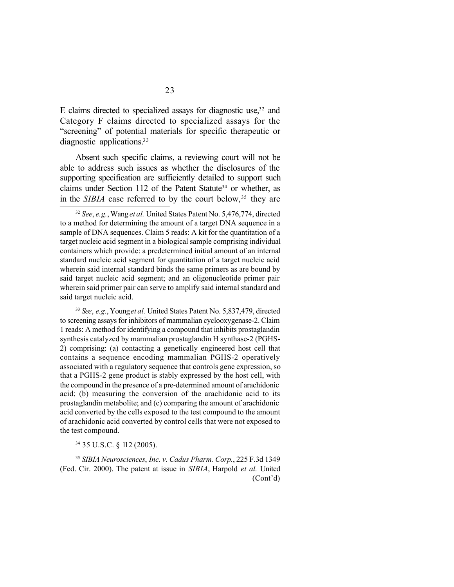E claims directed to specialized assays for diagnostic use, $32$  and Category F claims directed to specialized assays for the "screening" of potential materials for specific therapeutic or diagnostic applications.<sup>33</sup>

Absent such specific claims, a reviewing court will not be able to address such issues as whether the disclosures of the supporting specification are sufficiently detailed to support such claims under Section 112 of the Patent Statute<sup>34</sup> or whether, as in the *SIBIA* case referred to by the court below,<sup>35</sup> they are

<sup>33</sup> *See*, *e.g.*, Young *et al.* United States Patent No. 5,837,479, directed to screening assays for inhibitors of mammalian cyclooxygenase-2. Claim 1 reads: A method for identifying a compound that inhibits prostaglandin synthesis catalyzed by mammalian prostaglandin H synthase-2 (PGHS-2) comprising: (a) contacting a genetically engineered host cell that contains a sequence encoding mammalian PGHS-2 operatively associated with a regulatory sequence that controls gene expression, so that a PGHS-2 gene product is stably expressed by the host cell, with the compound in the presence of a pre-determined amount of arachidonic acid; (b) measuring the conversion of the arachidonic acid to its prostaglandin metabolite; and (c) comparing the amount of arachidonic acid converted by the cells exposed to the test compound to the amount of arachidonic acid converted by control cells that were not exposed to the test compound.

<sup>34</sup> 35 U.S.C. § 112 (2005).

<sup>35</sup> *SIBIA Neurosciences*, *Inc. v. Cadus Pharm. Corp.*, 225 F.3d 1349 (Fed. Cir. 2000). The patent at issue in *SIBIA*, Harpold *et al.* United (Cont'd)

<sup>32</sup> *See*, *e.g.*, Wang *et al.* United States Patent No. 5,476,774, directed to a method for determining the amount of a target DNA sequence in a sample of DNA sequences. Claim 5 reads: A kit for the quantitation of a target nucleic acid segment in a biological sample comprising individual containers which provide: a predetermined initial amount of an internal standard nucleic acid segment for quantitation of a target nucleic acid wherein said internal standard binds the same primers as are bound by said target nucleic acid segment; and an oligonucleotide primer pair wherein said primer pair can serve to amplify said internal standard and said target nucleic acid.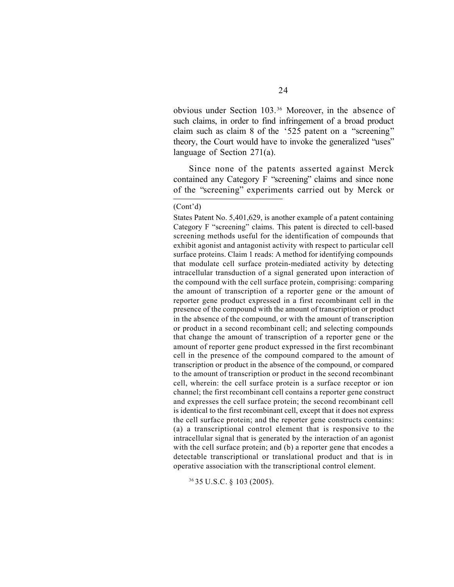obvious under Section 103.36 Moreover, in the absence of such claims, in order to find infringement of a broad product claim such as claim 8 of the '525 patent on a "screening" theory, the Court would have to invoke the generalized "uses" language of Section 271(a).

Since none of the patents asserted against Merck contained any Category F "screening" claims and since none of the "screening" experiments carried out by Merck or

(Cont'd)

States Patent No. 5,401,629, is another example of a patent containing Category F "screening" claims. This patent is directed to cell-based screening methods useful for the identification of compounds that exhibit agonist and antagonist activity with respect to particular cell surface proteins. Claim 1 reads: A method for identifying compounds that modulate cell surface protein-mediated activity by detecting intracellular transduction of a signal generated upon interaction of the compound with the cell surface protein, comprising: comparing the amount of transcription of a reporter gene or the amount of reporter gene product expressed in a first recombinant cell in the presence of the compound with the amount of transcription or product in the absence of the compound, or with the amount of transcription or product in a second recombinant cell; and selecting compounds that change the amount of transcription of a reporter gene or the amount of reporter gene product expressed in the first recombinant cell in the presence of the compound compared to the amount of transcription or product in the absence of the compound, or compared to the amount of transcription or product in the second recombinant cell, wherein: the cell surface protein is a surface receptor or ion channel; the first recombinant cell contains a reporter gene construct and expresses the cell surface protein; the second recombinant cell is identical to the first recombinant cell, except that it does not express the cell surface protein; and the reporter gene constructs contains: (a) a transcriptional control element that is responsive to the intracellular signal that is generated by the interaction of an agonist with the cell surface protein; and (b) a reporter gene that encodes a detectable transcriptional or translational product and that is in operative association with the transcriptional control element.

<sup>36</sup>35 U.S.C. § 103 (2005).